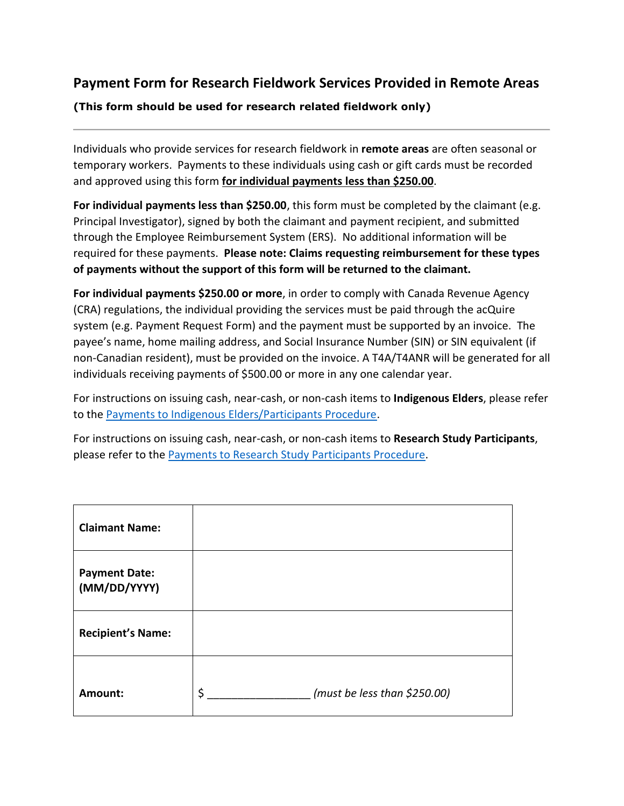## **Payment Form for Research Fieldwork Services Provided in Remote Areas**

## **(This form should be used for research related fieldwork only)**

Individuals who provide services for research fieldwork in **remote areas** are often seasonal or temporary workers. Payments to these individuals using cash or gift cards must be recorded and approved using this form **for individual payments less than \$250.00**.

**For individual payments less than \$250.00**, this form must be completed by the claimant (e.g. Principal Investigator), signed by both the claimant and payment recipient, and submitted through the Employee Reimbursement System (ERS). No additional information will be required for these payments. **Please note: Claims requesting reimbursement for these types of payments without the support of this form will be returned to the claimant.**

**For individual payments \$250.00 or more**, in order to comply with Canada Revenue Agency (CRA) regulations, the individual providing the services must be paid through the acQuire system (e.g. Payment Request Form) and the payment must be supported by an invoice. The payee's name, home mailing address, and Social Insurance Number (SIN) or SIN equivalent (if non-Canadian resident), must be provided on the invoice. A T4A/T4ANR will be generated for all individuals receiving payments of \$500.00 or more in any one calendar year.

For instructions on issuing cash, near-cash, or non-cash items to **Indigenous Elders**, please refer to the [Payments to Indigenous Elders/Participants Procedure.](https://www.queensu.ca/financialservices/sites/finswww/files/uploaded_files/Payments%20to%20Indigenous%20Elders%20Participants%20Procedure.pdf)

For instructions on issuing cash, near-cash, or non-cash items to **Research Study Participants**, please refer to the [Payments to Research Study Participants Procedure.](https://www.queensu.ca/secretariat/policies/finance/payments-research-study-participants)

| <b>Claimant Name:</b>                |                                    |
|--------------------------------------|------------------------------------|
| <b>Payment Date:</b><br>(MM/DD/YYYY) |                                    |
| <b>Recipient's Name:</b>             |                                    |
| Amount:                              | \$<br>(must be less than \$250.00) |